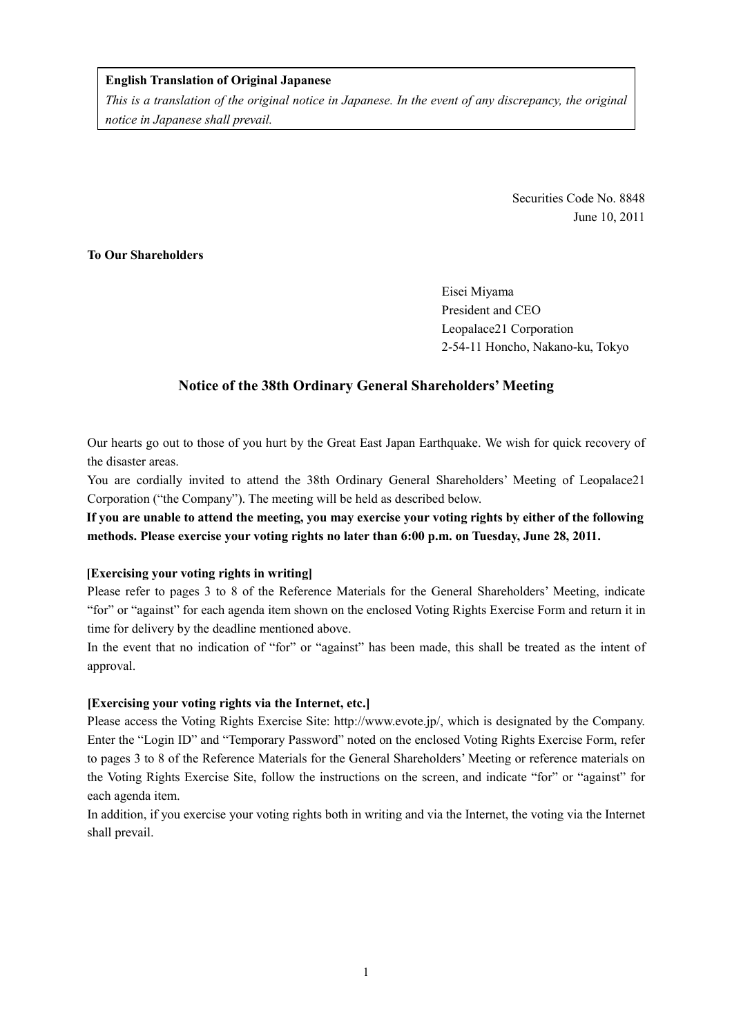## **English Translation of Original Japanese**

*This is a translation of the original notice in Japanese. In the event of any discrepancy, the original notice in Japanese shall prevail.* 

> Securities Code No. 8848 June 10, 2011

# **To Our Shareholders**

Eisei Miyama President and CEO Leopalace21 Corporation 2-54-11 Honcho, Nakano-ku, Tokyo

# **Notice of the 38th Ordinary General Shareholders' Meeting**

Our hearts go out to those of you hurt by the Great East Japan Earthquake. We wish for quick recovery of the disaster areas.

You are cordially invited to attend the 38th Ordinary General Shareholders' Meeting of Leopalace21 Corporation ("the Company"). The meeting will be held as described below.

**If you are unable to attend the meeting, you may exercise your voting rights by either of the following methods. Please exercise your voting rights no later than 6:00 p.m. on Tuesday, June 28, 2011.** 

## **[Exercising your voting rights in writing]**

Please refer to pages 3 to 8 of the Reference Materials for the General Shareholders' Meeting, indicate "for" or "against" for each agenda item shown on the enclosed Voting Rights Exercise Form and return it in time for delivery by the deadline mentioned above.

In the event that no indication of "for" or "against" has been made, this shall be treated as the intent of approval.

#### **[Exercising your voting rights via the Internet, etc.]**

Please access the Voting Rights Exercise Site: http://www.evote.jp/, which is designated by the Company. Enter the "Login ID" and "Temporary Password" noted on the enclosed Voting Rights Exercise Form, refer to pages 3 to 8 of the Reference Materials for the General Shareholders' Meeting or reference materials on the Voting Rights Exercise Site, follow the instructions on the screen, and indicate "for" or "against" for each agenda item.

In addition, if you exercise your voting rights both in writing and via the Internet, the voting via the Internet shall prevail.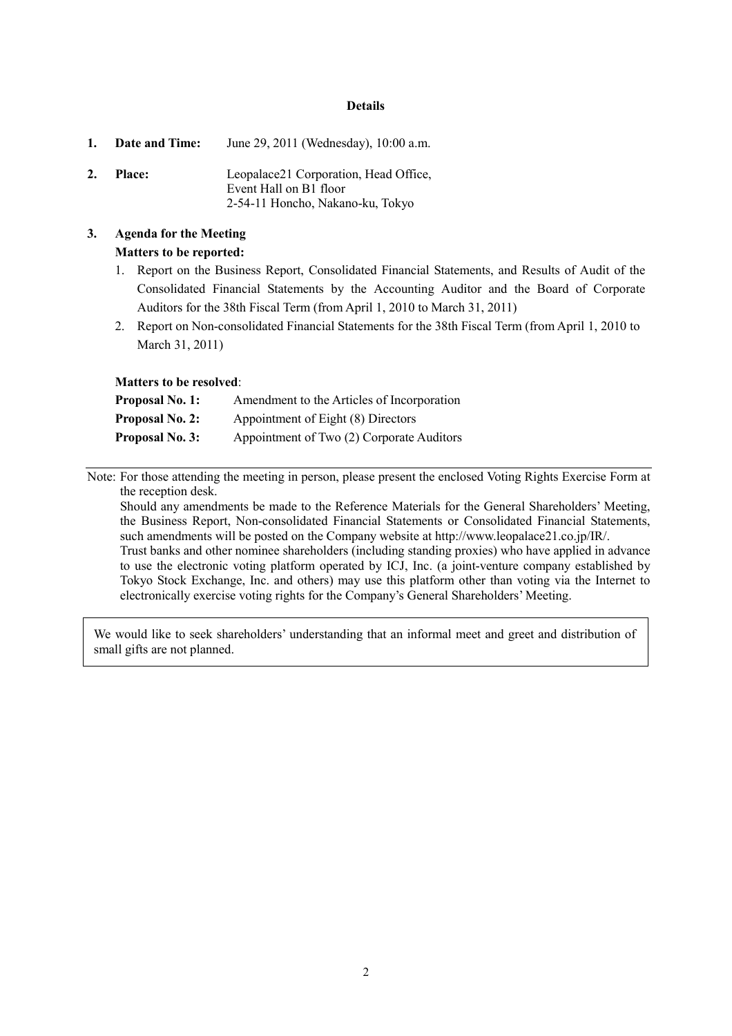#### **Details**

|    | 1. Date and Time: | June 29, 2011 (Wednesday), 10:00 a.m.                                                               |
|----|-------------------|-----------------------------------------------------------------------------------------------------|
| 2. | <b>Place:</b>     | Leopalace21 Corporation, Head Office,<br>Event Hall on B1 floor<br>2-54-11 Honcho, Nakano-ku, Tokyo |

# **3. Agenda for the Meeting Matters to be reported:**

- 1. Report on the Business Report, Consolidated Financial Statements, and Results of Audit of the Consolidated Financial Statements by the Accounting Auditor and the Board of Corporate Auditors for the 38th Fiscal Term (from April 1, 2010 to March 31, 2011)
- 2. Report on Non-consolidated Financial Statements for the 38th Fiscal Term (from April 1, 2010 to March 31, 2011)

#### **Matters to be resolved**:

| <b>Proposal No. 1:</b> | Amendment to the Articles of Incorporation |
|------------------------|--------------------------------------------|
| <b>Proposal No. 2:</b> | Appointment of Eight (8) Directors         |
| <b>Proposal No. 3:</b> | Appointment of Two (2) Corporate Auditors  |

Note: For those attending the meeting in person, please present the enclosed Voting Rights Exercise Form at the reception desk.

Should any amendments be made to the Reference Materials for the General Shareholders' Meeting, the Business Report, Non-consolidated Financial Statements or Consolidated Financial Statements, such amendments will be posted on the Company website at http://www.leopalace21.co.jp/IR/. Trust banks and other nominee shareholders (including standing proxies) who have applied in advance to use the electronic voting platform operated by ICJ, Inc. (a joint-venture company established by Tokyo Stock Exchange, Inc. and others) may use this platform other than voting via the Internet to electronically exercise voting rights for the Company's General Shareholders' Meeting.

We would like to seek shareholders' understanding that an informal meet and greet and distribution of small gifts are not planned.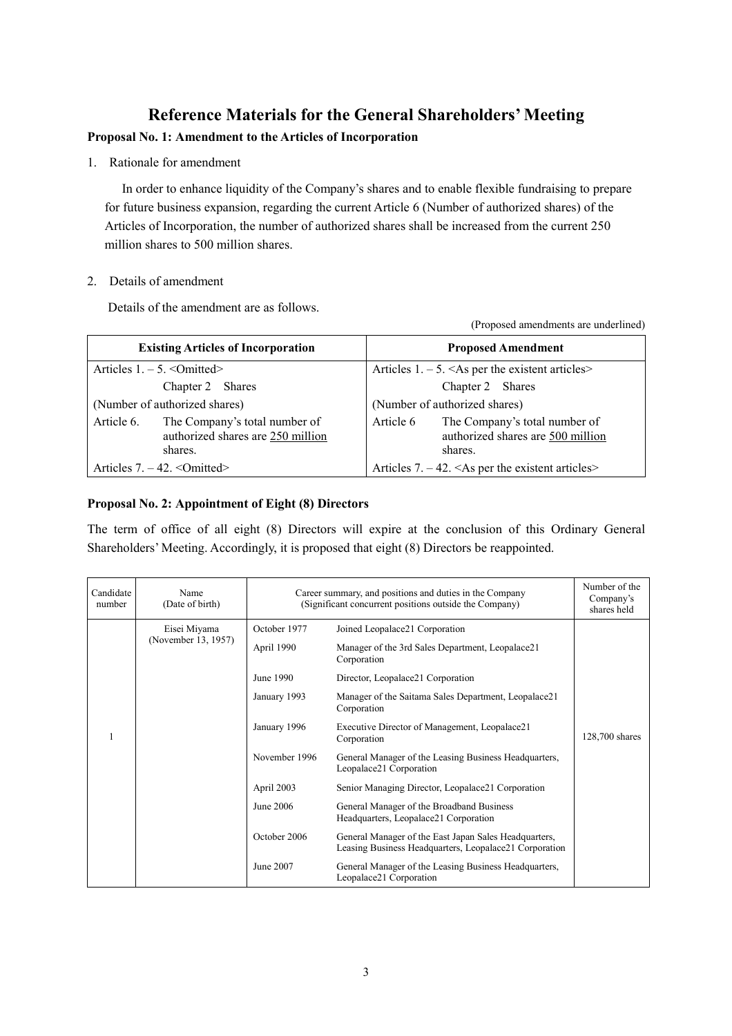# **Reference Materials for the General Shareholders' Meeting**

# **Proposal No. 1: Amendment to the Articles of Incorporation**

1. Rationale for amendment

In order to enhance liquidity of the Company's shares and to enable flexible fundraising to prepare for future business expansion, regarding the current Article 6 (Number of authorized shares) of the Articles of Incorporation, the number of authorized shares shall be increased from the current 250 million shares to 500 million shares.

# 2. Details of amendment

Details of the amendment are as follows.

| <b>Existing Articles of Incorporation</b>                                                   | <b>Proposed Amendment</b>                                                                  |  |
|---------------------------------------------------------------------------------------------|--------------------------------------------------------------------------------------------|--|
| Articles $1. - 5. <$ Omitted>                                                               | Articles $1. - 5. \leq As$ per the existent articles                                       |  |
| Chapter 2 Shares                                                                            | Chapter 2 Shares                                                                           |  |
| (Number of authorized shares)                                                               | (Number of authorized shares)                                                              |  |
| The Company's total number of<br>Article 6.<br>authorized shares are 250 million<br>shares. | The Company's total number of<br>Article 6<br>authorized shares are 500 million<br>shares. |  |
| Articles $7. - 42. <$ Omitted>                                                              | Articles 7. $-42$ . <as articles="" existent="" per="" the=""></as>                        |  |

(Proposed amendments are underlined)

# **Proposal No. 2: Appointment of Eight (8) Directors**

The term of office of all eight (8) Directors will expire at the conclusion of this Ordinary General Shareholders' Meeting. Accordingly, it is proposed that eight (8) Directors be reappointed.

| Candidate<br>number | Name<br>(Date of birth) | Career summary, and positions and duties in the Company<br>(Significant concurrent positions outside the Company) |                                                                                                                 | Number of the<br>Company's<br>shares held |
|---------------------|-------------------------|-------------------------------------------------------------------------------------------------------------------|-----------------------------------------------------------------------------------------------------------------|-------------------------------------------|
|                     | Eisei Miyama            | October 1977                                                                                                      | Joined Leopalace21 Corporation                                                                                  |                                           |
|                     | (November 13, 1957)     | April 1990                                                                                                        | Manager of the 3rd Sales Department, Leopalace21<br>Corporation                                                 |                                           |
|                     |                         | June 1990                                                                                                         | Director, Leopalace21 Corporation                                                                               |                                           |
|                     |                         | January 1993                                                                                                      | Manager of the Saitama Sales Department, Leopalace21<br>Corporation                                             |                                           |
|                     |                         | January 1996                                                                                                      | Executive Director of Management, Leopalace21<br>Corporation                                                    | 128,700 shares                            |
|                     |                         | November 1996                                                                                                     | General Manager of the Leasing Business Headquarters,<br>Leopalace21 Corporation                                |                                           |
|                     |                         | April 2003                                                                                                        | Senior Managing Director, Leopalace21 Corporation                                                               |                                           |
|                     |                         | June 2006                                                                                                         | General Manager of the Broadband Business<br>Headquarters, Leopalace21 Corporation                              |                                           |
|                     |                         | October 2006                                                                                                      | General Manager of the East Japan Sales Headquarters,<br>Leasing Business Headquarters, Leopalace21 Corporation |                                           |
|                     |                         | June 2007                                                                                                         | General Manager of the Leasing Business Headquarters,<br>Leopalace21 Corporation                                |                                           |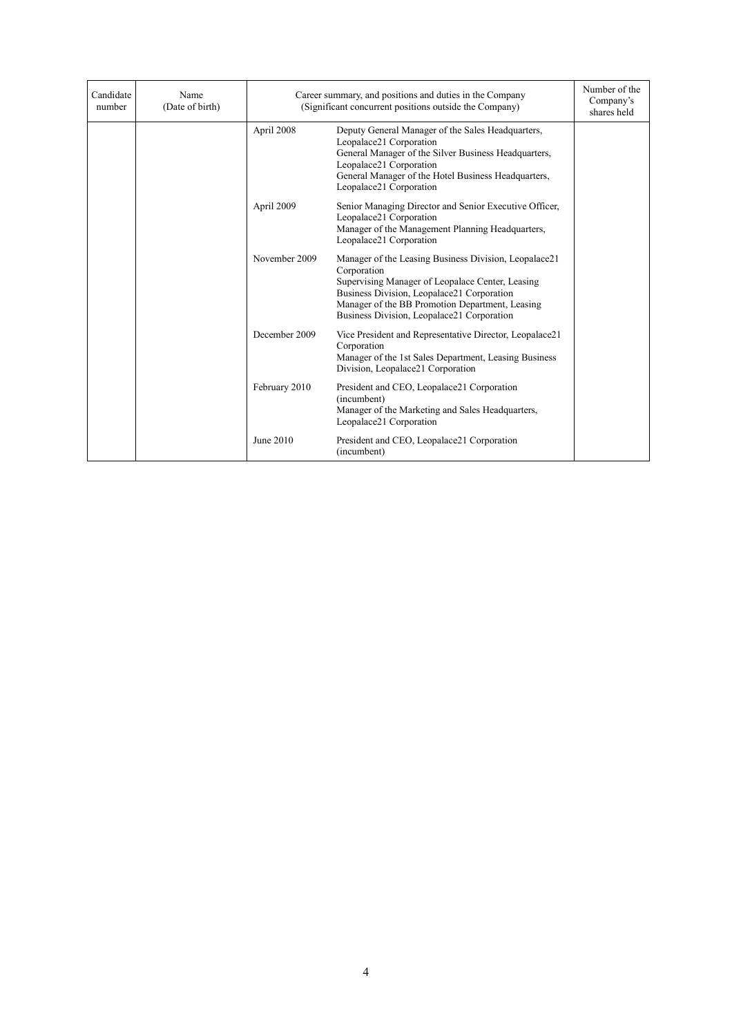| Candidate<br>number | Name<br>(Date of birth) | Career summary, and positions and duties in the Company<br>(Significant concurrent positions outside the Company) |                                                                                                                                                                                                                                                                         | Number of the<br>Company's<br>shares held |
|---------------------|-------------------------|-------------------------------------------------------------------------------------------------------------------|-------------------------------------------------------------------------------------------------------------------------------------------------------------------------------------------------------------------------------------------------------------------------|-------------------------------------------|
|                     |                         | April 2008                                                                                                        | Deputy General Manager of the Sales Headquarters,<br>Leopalace21 Corporation<br>General Manager of the Silver Business Headquarters,<br>Leopalace21 Corporation<br>General Manager of the Hotel Business Headquarters,<br>Leopalace21 Corporation                       |                                           |
|                     |                         | April 2009                                                                                                        | Senior Managing Director and Senior Executive Officer,<br>Leopalace21 Corporation<br>Manager of the Management Planning Headquarters,<br>Leopalace21 Corporation                                                                                                        |                                           |
|                     |                         | November 2009                                                                                                     | Manager of the Leasing Business Division, Leopalace21<br>Corporation<br>Supervising Manager of Leopalace Center, Leasing<br>Business Division, Leopalace21 Corporation<br>Manager of the BB Promotion Department, Leasing<br>Business Division, Leopalace21 Corporation |                                           |
|                     |                         | December 2009                                                                                                     | Vice President and Representative Director, Leopalace21<br>Corporation<br>Manager of the 1st Sales Department, Leasing Business<br>Division, Leopalace21 Corporation                                                                                                    |                                           |
|                     |                         | February 2010                                                                                                     | President and CEO, Leopalace21 Corporation<br>(incumbent)<br>Manager of the Marketing and Sales Headquarters,<br>Leopalace21 Corporation                                                                                                                                |                                           |
|                     |                         | June 2010                                                                                                         | President and CEO, Leopalace21 Corporation<br>(incumbent)                                                                                                                                                                                                               |                                           |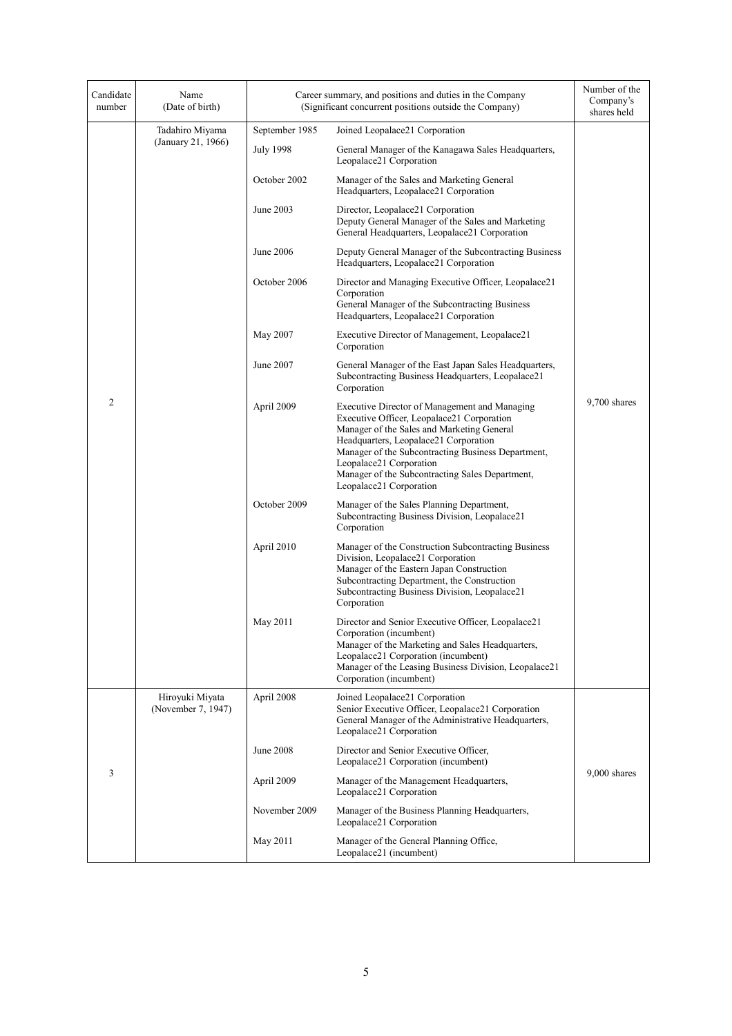| Candidate<br>number | Name<br>(Date of birth)               | Career summary, and positions and duties in the Company<br>(Significant concurrent positions outside the Company) |                                                                                                                                                                                                                                                                                                                                                   | Number of the<br>Company's<br>shares held |
|---------------------|---------------------------------------|-------------------------------------------------------------------------------------------------------------------|---------------------------------------------------------------------------------------------------------------------------------------------------------------------------------------------------------------------------------------------------------------------------------------------------------------------------------------------------|-------------------------------------------|
|                     | Tadahiro Miyama                       | September 1985                                                                                                    | Joined Leopalace21 Corporation                                                                                                                                                                                                                                                                                                                    |                                           |
|                     | (January 21, 1966)                    | <b>July 1998</b>                                                                                                  | General Manager of the Kanagawa Sales Headquarters,<br>Leopalace21 Corporation                                                                                                                                                                                                                                                                    |                                           |
|                     |                                       | October 2002                                                                                                      | Manager of the Sales and Marketing General<br>Headquarters, Leopalace21 Corporation                                                                                                                                                                                                                                                               |                                           |
|                     |                                       | June 2003                                                                                                         | Director, Leopalace21 Corporation<br>Deputy General Manager of the Sales and Marketing<br>General Headquarters, Leopalace21 Corporation                                                                                                                                                                                                           |                                           |
|                     |                                       | June 2006                                                                                                         | Deputy General Manager of the Subcontracting Business<br>Headquarters, Leopalace21 Corporation                                                                                                                                                                                                                                                    |                                           |
|                     |                                       | October 2006                                                                                                      | Director and Managing Executive Officer, Leopalace21<br>Corporation<br>General Manager of the Subcontracting Business<br>Headquarters, Leopalace21 Corporation                                                                                                                                                                                    |                                           |
|                     |                                       | May 2007                                                                                                          | Executive Director of Management, Leopalace21<br>Corporation                                                                                                                                                                                                                                                                                      |                                           |
|                     |                                       | June 2007                                                                                                         | General Manager of the East Japan Sales Headquarters,<br>Subcontracting Business Headquarters, Leopalace21<br>Corporation                                                                                                                                                                                                                         |                                           |
| $\overline{c}$      |                                       | April 2009                                                                                                        | Executive Director of Management and Managing<br>Executive Officer, Leopalace21 Corporation<br>Manager of the Sales and Marketing General<br>Headquarters, Leopalace21 Corporation<br>Manager of the Subcontracting Business Department,<br>Leopalace21 Corporation<br>Manager of the Subcontracting Sales Department,<br>Leopalace21 Corporation | $9,700$ shares                            |
|                     |                                       | October 2009                                                                                                      | Manager of the Sales Planning Department,<br>Subcontracting Business Division, Leopalace21<br>Corporation                                                                                                                                                                                                                                         |                                           |
|                     |                                       | April 2010                                                                                                        | Manager of the Construction Subcontracting Business<br>Division, Leopalace21 Corporation<br>Manager of the Eastern Japan Construction<br>Subcontracting Department, the Construction<br>Subcontracting Business Division, Leopalace21<br>Corporation                                                                                              |                                           |
|                     |                                       | May 2011                                                                                                          | Director and Senior Executive Officer, Leopalace21<br>Corporation (incumbent)<br>Manager of the Marketing and Sales Headquarters,<br>Leopalace21 Corporation (incumbent)<br>Manager of the Leasing Business Division, Leopalace21<br>Corporation (incumbent)                                                                                      |                                           |
|                     | Hiroyuki Miyata<br>(November 7, 1947) | April 2008                                                                                                        | Joined Leopalace21 Corporation<br>Senior Executive Officer, Leopalace21 Corporation<br>General Manager of the Administrative Headquarters,<br>Leopalace21 Corporation                                                                                                                                                                             |                                           |
|                     |                                       | <b>June 2008</b>                                                                                                  | Director and Senior Executive Officer,<br>Leopalace21 Corporation (incumbent)                                                                                                                                                                                                                                                                     |                                           |
| 3                   |                                       | April 2009                                                                                                        | Manager of the Management Headquarters,<br>Leopalace21 Corporation                                                                                                                                                                                                                                                                                | 9,000 shares                              |
|                     |                                       | November 2009                                                                                                     | Manager of the Business Planning Headquarters,<br>Leopalace21 Corporation                                                                                                                                                                                                                                                                         |                                           |
|                     |                                       | May 2011                                                                                                          | Manager of the General Planning Office,<br>Leopalace21 (incumbent)                                                                                                                                                                                                                                                                                |                                           |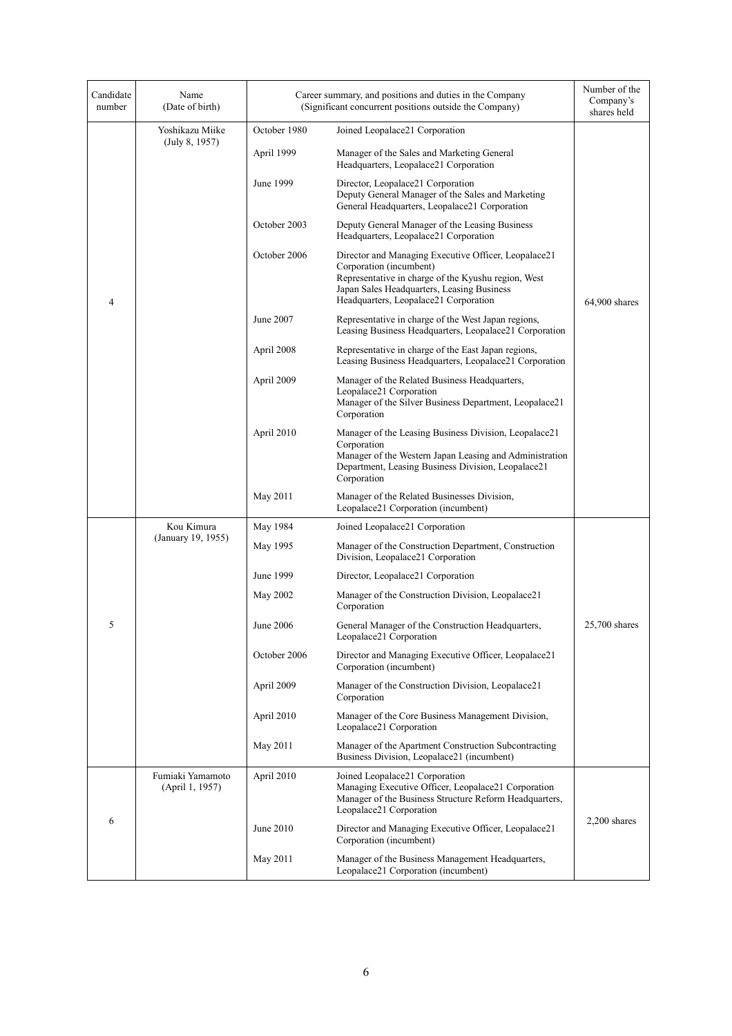| Candidate<br>number | Name<br>(Date of birth)             | Career summary, and positions and duties in the Company<br>(Significant concurrent positions outside the Company) |                                                                                                                                                                                                                               | Number of the<br>Company's<br>shares held |
|---------------------|-------------------------------------|-------------------------------------------------------------------------------------------------------------------|-------------------------------------------------------------------------------------------------------------------------------------------------------------------------------------------------------------------------------|-------------------------------------------|
|                     | Yoshikazu Miike                     | October 1980                                                                                                      | Joined Leopalace21 Corporation                                                                                                                                                                                                |                                           |
|                     | (July 8, 1957)                      | April 1999                                                                                                        | Manager of the Sales and Marketing General<br>Headquarters, Leopalace21 Corporation                                                                                                                                           |                                           |
|                     |                                     | June 1999                                                                                                         | Director, Leopalace21 Corporation<br>Deputy General Manager of the Sales and Marketing<br>General Headquarters, Leopalace21 Corporation                                                                                       |                                           |
|                     |                                     | October 2003                                                                                                      | Deputy General Manager of the Leasing Business<br>Headquarters, Leopalace21 Corporation                                                                                                                                       |                                           |
| 4                   |                                     | October 2006                                                                                                      | Director and Managing Executive Officer, Leopalace21<br>Corporation (incumbent)<br>Representative in charge of the Kyushu region, West<br>Japan Sales Headquarters, Leasing Business<br>Headquarters, Leopalace21 Corporation | $64,900$ shares                           |
|                     |                                     | June 2007                                                                                                         | Representative in charge of the West Japan regions,<br>Leasing Business Headquarters, Leopalace21 Corporation                                                                                                                 |                                           |
|                     |                                     | April 2008                                                                                                        | Representative in charge of the East Japan regions,<br>Leasing Business Headquarters, Leopalace21 Corporation                                                                                                                 |                                           |
|                     |                                     | April 2009                                                                                                        | Manager of the Related Business Headquarters,<br>Leopalace21 Corporation<br>Manager of the Silver Business Department, Leopalace21<br>Corporation                                                                             |                                           |
|                     |                                     | April 2010                                                                                                        | Manager of the Leasing Business Division, Leopalace21<br>Corporation<br>Manager of the Western Japan Leasing and Administration<br>Department, Leasing Business Division, Leopalace21<br>Corporation                          |                                           |
|                     |                                     | May 2011                                                                                                          | Manager of the Related Businesses Division,<br>Leopalace21 Corporation (incumbent)                                                                                                                                            |                                           |
|                     | Kou Kimura                          | May 1984                                                                                                          | Joined Leopalace21 Corporation                                                                                                                                                                                                |                                           |
|                     | (January 19, 1955)                  | May 1995                                                                                                          | Manager of the Construction Department, Construction<br>Division, Leopalace21 Corporation                                                                                                                                     |                                           |
|                     |                                     | June 1999                                                                                                         | Director, Leopalace21 Corporation                                                                                                                                                                                             |                                           |
|                     |                                     | May 2002                                                                                                          | Manager of the Construction Division, Leopalace21<br>Corporation                                                                                                                                                              |                                           |
| 5                   |                                     | June 2006                                                                                                         | General Manager of the Construction Headquarters,<br>Leopalace21 Corporation                                                                                                                                                  | $25.700$ shares                           |
|                     |                                     | October 2006                                                                                                      | Director and Managing Executive Officer, Leopalace21<br>Corporation (incumbent)                                                                                                                                               |                                           |
|                     |                                     | April 2009                                                                                                        | Manager of the Construction Division, Leopalace21<br>Corporation                                                                                                                                                              |                                           |
|                     |                                     | April 2010                                                                                                        | Manager of the Core Business Management Division,<br>Leopalace21 Corporation                                                                                                                                                  |                                           |
|                     |                                     | May 2011                                                                                                          | Manager of the Apartment Construction Subcontracting<br>Business Division, Leopalace21 (incumbent)                                                                                                                            |                                           |
| 6                   | Fumiaki Yamamoto<br>(April 1, 1957) | April 2010                                                                                                        | Joined Leopalace21 Corporation<br>Managing Executive Officer, Leopalace21 Corporation<br>Manager of the Business Structure Reform Headquarters,<br>Leopalace21 Corporation                                                    |                                           |
|                     |                                     | June 2010                                                                                                         | Director and Managing Executive Officer, Leopalace21<br>Corporation (incumbent)                                                                                                                                               | $2,200$ shares                            |
|                     |                                     | May 2011                                                                                                          | Manager of the Business Management Headquarters,<br>Leopalace21 Corporation (incumbent)                                                                                                                                       |                                           |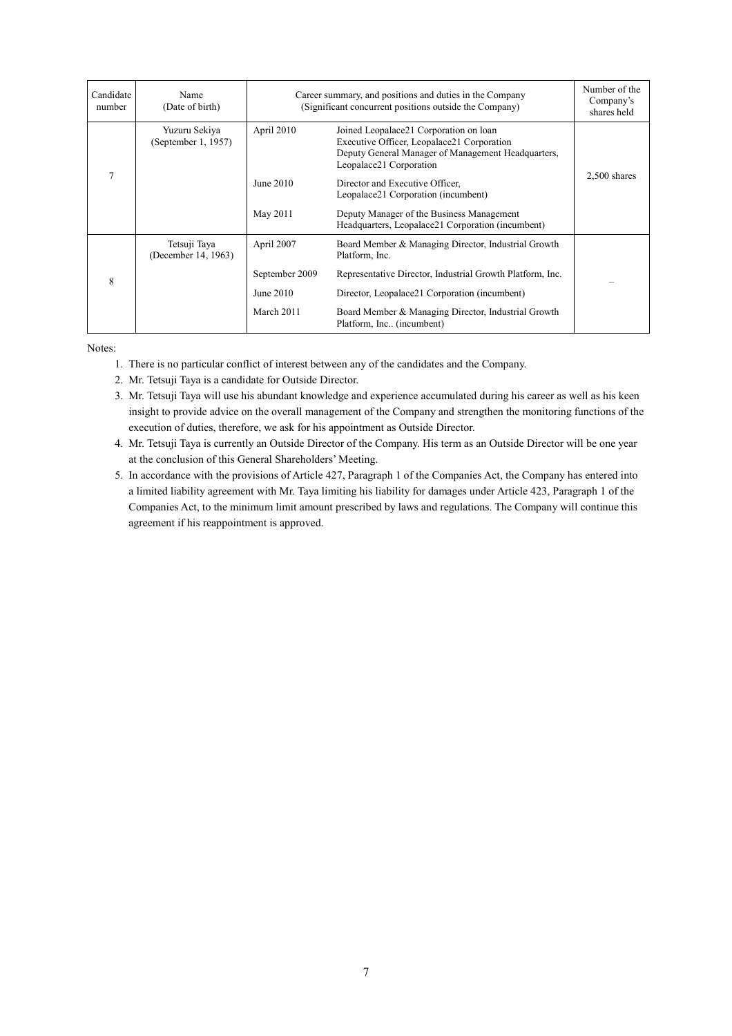| Candidate<br>number | Name<br>(Date of birth)              | Career summary, and positions and duties in the Company<br>(Significant concurrent positions outside the Company) |                                                                                                                                                                       | Number of the<br>Company's<br>shares held |
|---------------------|--------------------------------------|-------------------------------------------------------------------------------------------------------------------|-----------------------------------------------------------------------------------------------------------------------------------------------------------------------|-------------------------------------------|
| 7                   | Yuzuru Sekiya<br>(September 1, 1957) | April 2010                                                                                                        | Joined Leopalace21 Corporation on loan<br>Executive Officer, Leopalace21 Corporation<br>Deputy General Manager of Management Headquarters,<br>Leopalace21 Corporation |                                           |
|                     |                                      | June $2010$                                                                                                       | Director and Executive Officer,<br>Leopalace21 Corporation (incumbent)                                                                                                | $2,500$ shares                            |
|                     |                                      | May 2011                                                                                                          | Deputy Manager of the Business Management<br>Headquarters, Leopalace21 Corporation (incumbent)                                                                        |                                           |
|                     | Tetsuji Tava<br>(December 14, 1963)  | April 2007                                                                                                        | Board Member & Managing Director, Industrial Growth<br>Platform, Inc.                                                                                                 |                                           |
| 8                   |                                      | September 2009                                                                                                    | Representative Director, Industrial Growth Platform, Inc.                                                                                                             |                                           |
|                     |                                      | June 2010                                                                                                         | Director, Leopalace21 Corporation (incumbent)                                                                                                                         |                                           |
|                     |                                      | March 2011                                                                                                        | Board Member & Managing Director, Industrial Growth<br>Platform, Inc., (incumbent)                                                                                    |                                           |

Notes:

- 1. There is no particular conflict of interest between any of the candidates and the Company.
- 2. Mr. Tetsuji Taya is a candidate for Outside Director.
- 3. Mr. Tetsuji Taya will use his abundant knowledge and experience accumulated during his career as well as his keen insight to provide advice on the overall management of the Company and strengthen the monitoring functions of the execution of duties, therefore, we ask for his appointment as Outside Director.
- 4. Mr. Tetsuji Taya is currently an Outside Director of the Company. His term as an Outside Director will be one year at the conclusion of this General Shareholders' Meeting.
- 5. In accordance with the provisions of Article 427, Paragraph 1 of the Companies Act, the Company has entered into a limited liability agreement with Mr. Taya limiting his liability for damages under Article 423, Paragraph 1 of the Companies Act, to the minimum limit amount prescribed by laws and regulations. The Company will continue this agreement if his reappointment is approved.